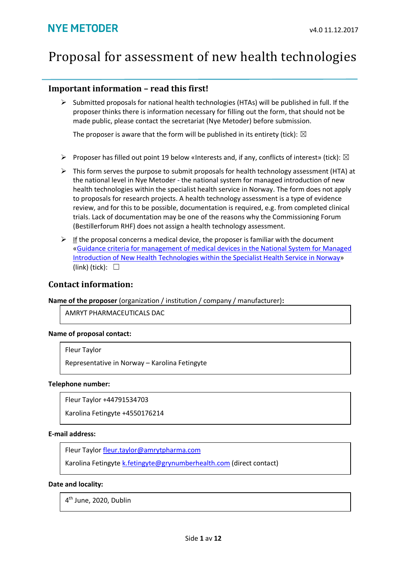# Proposal for assessment of new health technologies

#### **Important information – read this first!**

 $\triangleright$  Submitted proposals for national health technologies (HTAs) will be published in full. If the proposer thinks there is information necessary for filling out the form, that should not be made public, please contact the secretariat (Nye Metoder) before submission.

The proposer is aware that the form will be published in its entirety (tick):  $\boxtimes$ 

- $\triangleright$  Proposer has filled out point 19 below «Interests and, if any, conflicts of interest» (tick):  $\boxtimes$
- $\triangleright$  This form serves the purpose to submit proposals for health technology assessment (HTA) at the national level in Nye Metoder - the national system for managed introduction of new health technologies within the specialist health service in Norway. The form does not apply to proposals for research projects. A health technology assessment is a type of evidence review, and for this to be possible, documentation is required, e.g. from completed clinical trials. Lack of documentation may be one of the reasons why the Commissioning Forum (Bestillerforum RHF) does not assign a health technology assessment.
- $\triangleright$  If the proposal concerns a medical device, the proposer is familiar with the document [«Guidance criteria for management of medical devices in the National System for Managed](https://nyemetoder.no/Documents/Om%20systemet/Guidance%20criteria%20for%20handling%20medical%20devices%20in%20Nye%20metoder.pdf)  [Introduction of New Health Technologies within the Specialist Health Service in Norway»](https://nyemetoder.no/Documents/Om%20systemet/Guidance%20criteria%20for%20handling%20medical%20devices%20in%20Nye%20metoder.pdf) (link) (tick):  $\Box$

#### **Contact information:**

#### **Name of the proposer** (organization / institution / company / manufacturer)**:**

AMRYT PHARMACEUTICALS DAC

#### **Name of proposal contact:**

#### Fleur Taylor

Representative in Norway – Karolina Fetingyte

#### **Telephone number:**

Fleur Taylor +44791534703

Karolina Fetingyte +4550176214

#### **E-mail address:**

Fleur Taylor [fleur.taylor@amrytpharma.com](mailto:fleur.taylor@amrytpharma.com)

Karolina Fetingyte [k.fetingyte@grynumberhealth.com](mailto:k.fetingyte@grynumberhealth.com) (direct contact)

#### **Date and locality:**

4 th June, 2020, Dublin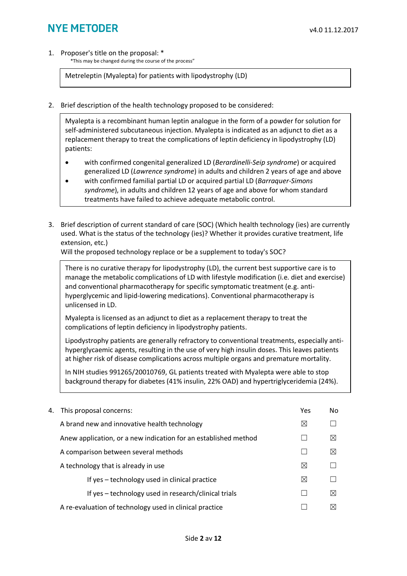1. Proposer's title on the proposal: \*

\*This may be changed during the course of the process"

Metreleptin (Myalepta) for patients with lipodystrophy (LD)

2. Brief description of the health technology proposed to be considered:

Myalepta is a recombinant human leptin analogue in the form of a powder for solution for self-administered subcutaneous injection. Myalepta is indicated as an adjunct to diet as a replacement therapy to treat the complications of leptin deficiency in lipodystrophy (LD) patients:

- with confirmed congenital generalized LD (*Berardinelli-Seip syndrome*) or acquired generalized LD (*Lawrence syndrome*) in adults and children 2 years of age and above
- with confirmed familial partial LD or acquired partial LD (*Barraquer-Simons syndrome*), in adults and children 12 years of age and above for whom standard treatments have failed to achieve adequate metabolic control.
- 3. Brief description of current standard of care (SOC) (Which health technology (ies) are currently used. What is the status of the technology (ies)? Whether it provides curative treatment, life extension, etc.)

Will the proposed technology replace or be a supplement to today's SOC?

There is no curative therapy for lipodystrophy (LD), the current best supportive care is to manage the metabolic complications of LD with lifestyle modification (i.e. diet and exercise) and conventional pharmacotherapy for specific symptomatic treatment (e.g. antihyperglycemic and lipid-lowering medications). Conventional pharmacotherapy is unlicensed in LD.

Myalepta is licensed as an adjunct to diet as a replacement therapy to treat the complications of leptin deficiency in lipodystrophy patients.

Lipodystrophy patients are generally refractory to conventional treatments, especially antihyperglycaemic agents, resulting in the use of very high insulin doses. This leaves patients at higher risk of disease complications across multiple organs and premature mortality.

In NIH studies 991265/20010769, GL patients treated with Myalepta were able to stop background therapy for diabetes (41% insulin, 22% OAD) and hypertriglyceridemia (24%).

| 4. This proposal concerns:                                      | Yes         | No.         |
|-----------------------------------------------------------------|-------------|-------------|
| A brand new and innovative health technology                    | ⊠           |             |
| Anew application, or a new indication for an established method |             | $\boxtimes$ |
| A comparison between several methods                            |             | $\boxtimes$ |
| A technology that is already in use                             | $\bowtie$   |             |
| If yes – technology used in clinical practice                   | $\boxtimes$ |             |
| If yes - technology used in research/clinical trials            |             | $\bowtie$   |
| A re-evaluation of technology used in clinical practice         |             | ⋉           |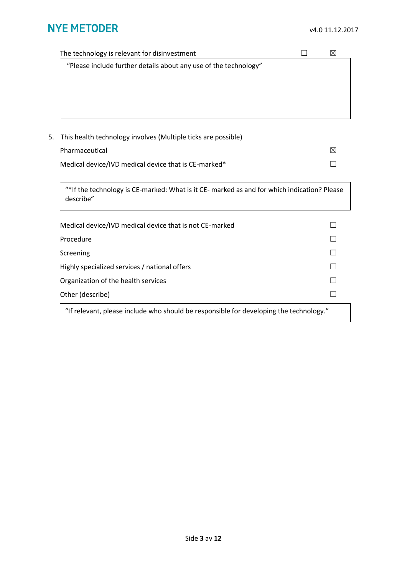| The technology is relevant for disinvestment                     |           |
|------------------------------------------------------------------|-----------|
| "Please include further details about any use of the technology" |           |
|                                                                  |           |
|                                                                  |           |
|                                                                  |           |
|                                                                  |           |
|                                                                  |           |
| 5. This health technology involves (Multiple ticks are possible) |           |
| Pharmaceutical                                                   | $\bowtie$ |
| Medical device/IVD medical device that is CE-marked*             |           |
|                                                                  |           |

"\*If the technology is CE-marked: What is it CE- marked as and for which indication? Please describe"

| Medical device/IVD medical device that is not CE-marked                                |  |
|----------------------------------------------------------------------------------------|--|
| Procedure                                                                              |  |
| Screening                                                                              |  |
| Highly specialized services / national offers                                          |  |
| Organization of the health services                                                    |  |
| Other (describe)                                                                       |  |
| "If relevant, please include who should be responsible for developing the technology." |  |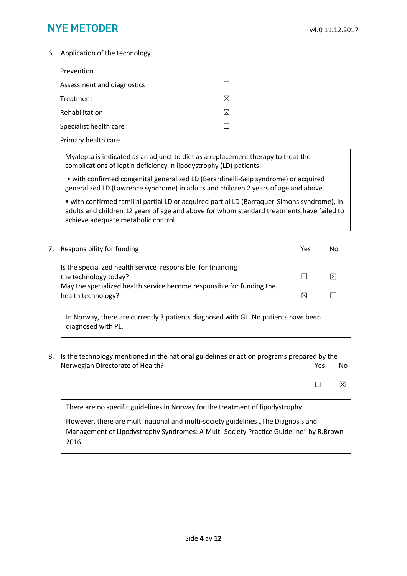6. Application of the technology:

| Prevention                 |  |
|----------------------------|--|
| Assessment and diagnostics |  |
| Treatment                  |  |
| Rehabilitation             |  |
| Specialist health care     |  |
| Primary health care        |  |

Myalepta is indicated as an adjunct to diet as a replacement therapy to treat the complications of leptin deficiency in lipodystrophy (LD) patients:

• with confirmed congenital generalized LD (Berardinelli-Seip syndrome) or acquired generalized LD (Lawrence syndrome) in adults and children 2 years of age and above

• with confirmed familial partial LD or acquired partial LD (Barraquer-Simons syndrome), in adults and children 12 years of age and above for whom standard treatments have failed to achieve adequate metabolic control.

| 7. Responsibility for funding                                                                                                                                 | Yes | Nο |
|---------------------------------------------------------------------------------------------------------------------------------------------------------------|-----|----|
| Is the specialized health service responsible for financing<br>the technology today?<br>May the specialized health service become responsible for funding the |     |    |
| health technology?                                                                                                                                            | ⋈   |    |

In Norway, there are currently 3 patients diagnosed with GL. No patients have been diagnosed with PL.

8. Is the technology mentioned in the national guidelines or action programs prepared by the Norwegian Directorate of Health? The Manuscript of Manuscript of Health? The West No. 2012. No

 $\square$   $\square$ 

There are no specific guidelines in Norway for the treatment of lipodystrophy.

However, there are multi national and multi-society guidelines "The Diagnosis and Management of Lipodystrophy Syndromes: A Multi-Society Practice Guideline" by R.Brown 2016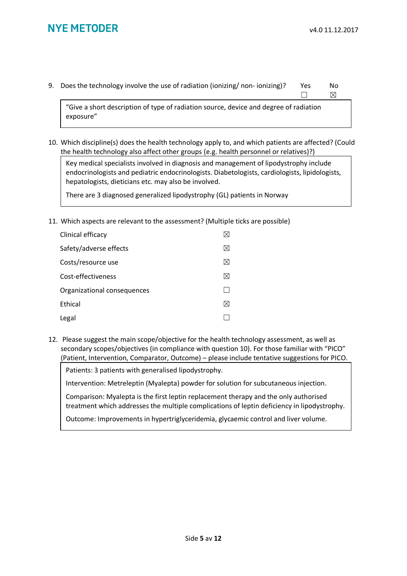9. Does the technology involve the use of radiation (ionizing/ non- ionizing)? Yes No

☐ ☒

"Give a short description of type of radiation source, device and degree of radiation exposure"

10. Which discipline(s) does the health technology apply to, and which patients are affected? (Could the health technology also affect other groups (e.g. health personnel or relatives)?)

Key medical specialists involved in diagnosis and management of lipodystrophy include endocrinologists and pediatric endocrinologists. Diabetologists, cardiologists, lipidologists, hepatologists, dieticians etc. may also be involved.

There are 3 diagnosed generalized lipodystrophy (GL) patients in Norway

11. Which aspects are relevant to the assessment? (Multiple ticks are possible)

| Clinical efficacy           |  |
|-----------------------------|--|
| Safety/adverse effects      |  |
| Costs/resource use          |  |
| Cost-effectiveness          |  |
| Organizational consequences |  |
| Ethical                     |  |
| Legal                       |  |

12. Please suggest the main scope/objective for the health technology assessment, as well as secondary scopes/objectives (in compliance with question 10). For those familiar with "PICO" (Patient, Intervention, Comparator, Outcome) – please include tentative suggestions for PICO.

Patients: 3 patients with generalised lipodystrophy.

Intervention: Metreleptin (Myalepta) powder for solution for subcutaneous injection.

Comparison: Myalepta is the first leptin replacement therapy and the only authorised treatment which addresses the multiple complications of leptin deficiency in lipodystrophy.

Outcome: Improvements in hypertriglyceridemia, glycaemic control and liver volume.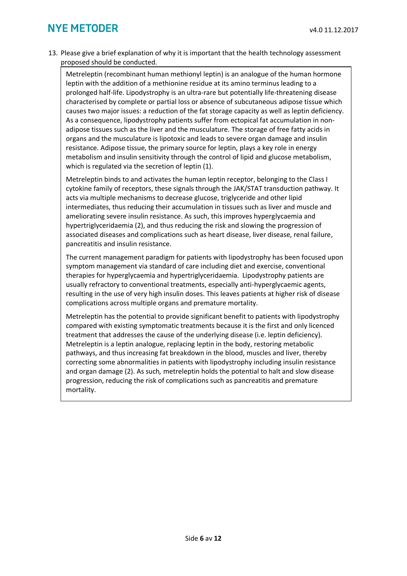13. Please give a brief explanation of why it is important that the health technology assessment proposed should be conducted.

Metreleptin (recombinant human methionyl leptin) is an analogue of the human hormone leptin with the addition of a methionine residue at its amino terminus leading to a prolonged half-life. Lipodystrophy is an ultra-rare but potentially life-threatening disease characterised by complete or partial loss or absence of subcutaneous adipose tissue which causes two major issues: a reduction of the fat storage capacity as well as leptin deficiency. As a consequence, lipodystrophy patients suffer from ectopical fat accumulation in nonadipose tissues such as the liver and the musculature. The storage of free fatty acids in organs and the musculature is lipotoxic and leads to severe organ damage and insulin resistance. Adipose tissue, the primary source for leptin, plays a key role in energy metabolism and insulin sensitivity through the control of lipid and glucose metabolism, which is regulated via the secretion of leptin (1).

Metreleptin binds to and activates the human leptin receptor, belonging to the Class I cytokine family of receptors, these signals through the JAK/STAT transduction pathway. It acts via multiple mechanisms to decrease glucose, triglyceride and other lipid intermediates, thus reducing their accumulation in tissues such as liver and muscle and ameliorating severe insulin resistance. As such, this improves hyperglycaemia and hypertriglyceridaemia (2), and thus reducing the risk and slowing the progression of associated diseases and complications such as heart disease, liver disease, renal failure, pancreatitis and insulin resistance.

The current management paradigm for patients with lipodystrophy has been focused upon symptom management via standard of care including diet and exercise, conventional therapies for hyperglycaemia and hypertriglyceridaemia. Lipodystrophy patients are usually refractory to conventional treatments, especially anti-hyperglycaemic agents, resulting in the use of very high insulin doses. This leaves patients at higher risk of disease complications across multiple organs and premature mortality.

Metreleptin has the potential to provide significant benefit to patients with lipodystrophy compared with existing symptomatic treatments because it is the first and only licenced treatment that addresses the cause of the underlying disease (i.e. leptin deficiency). Metreleptin is a leptin analogue, replacing leptin in the body, restoring metabolic pathways, and thus increasing fat breakdown in the blood, muscles and liver, thereby correcting some abnormalities in patients with lipodystrophy including insulin resistance and organ damage (2). As such*,* metreleptin holds the potential to halt and slow disease progression, reducing the risk of complications such as pancreatitis and premature mortality.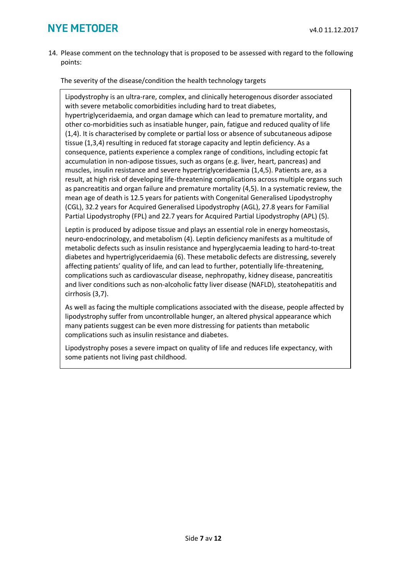14. Please comment on the technology that is proposed to be assessed with regard to the following points:

The severity of the disease/condition the health technology targets

Lipodystrophy is an ultra-rare, complex, and clinically heterogenous disorder associated with severe metabolic comorbidities including hard to treat diabetes, hypertriglyceridaemia, and organ damage which can lead to premature mortality, and other co-morbidities such as insatiable hunger, pain, fatigue and reduced quality of life (1,4). It is characterised by complete or partial loss or absence of subcutaneous adipose tissue (1,3,4) resulting in reduced fat storage capacity and leptin deficiency. As a consequence, patients experience a complex range of conditions, including ectopic fat accumulation in non-adipose tissues, such as organs (e.g. liver, heart, pancreas) and muscles, insulin resistance and severe hypertriglyceridaemia (1,4,5). Patients are, as a result, at high risk of developing life-threatening complications across multiple organs such as pancreatitis and organ failure and premature mortality (4,5). In a systematic review, the mean age of death is 12.5 years for patients with Congenital Generalised Lipodystrophy (CGL), 32.2 years for Acquired Generalised Lipodystrophy (AGL), 27.8 years for Familial Partial Lipodystrophy (FPL) and 22.7 years for Acquired Partial Lipodystrophy (APL) (5).

Leptin is produced by adipose tissue and plays an essential role in energy homeostasis, neuro-endocrinology, and metabolism (4). Leptin deficiency manifests as a multitude of metabolic defects such as insulin resistance and hyperglycaemia leading to hard-to-treat diabetes and hypertriglyceridaemia (6). These metabolic defects are distressing, severely affecting patients' quality of life, and can lead to further, potentially life-threatening, complications such as cardiovascular disease, nephropathy, kidney disease, pancreatitis and liver conditions such as non-alcoholic fatty liver disease (NAFLD), steatohepatitis and cirrhosis (3,7).

As well as facing the multiple complications associated with the disease, people affected by lipodystrophy suffer from uncontrollable hunger, an altered physical appearance which many patients suggest can be even more distressing for patients than metabolic complications such as insulin resistance and diabetes.

Lipodystrophy poses a severe impact on quality of life and reduces life expectancy, with some patients not living past childhood.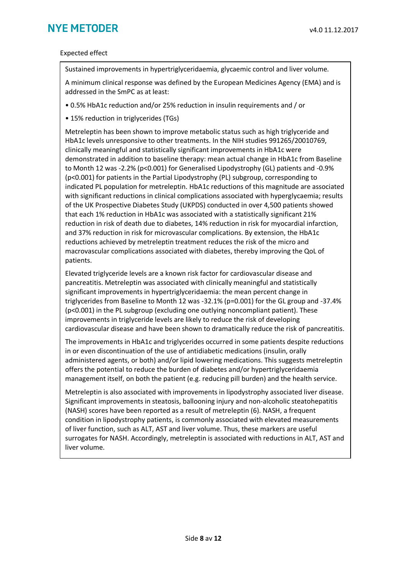#### Expected effect

Sustained improvements in hypertriglyceridaemia, glycaemic control and liver volume.

A minimum clinical response was defined by the European Medicines Agency (EMA) and is addressed in the SmPC as at least:

- 0.5% HbA1c reduction and/or 25% reduction in insulin requirements and / or
- 15% reduction in triglycerides (TGs)

Metreleptin has been shown to improve metabolic status such as high triglyceride and HbA1c levels unresponsive to other treatments. In the NIH studies 991265/20010769, clinically meaningful and statistically significant improvements in HbA1c were demonstrated in addition to baseline therapy: mean actual change in HbA1c from Baseline to Month 12 was -2.2% (p<0.001) for Generalised Lipodystrophy (GL) patients and -0.9% (p<0.001) for patients in the Partial Lipodystrophy (PL) subgroup, corresponding to indicated PL population for metreleptin. HbA1c reductions of this magnitude are associated with significant reductions in clinical complications associated with hyperglycaemia; results of the UK Prospective Diabetes Study (UKPDS) conducted in over 4,500 patients showed that each 1% reduction in HbA1c was associated with a statistically significant 21% reduction in risk of death due to diabetes, 14% reduction in risk for myocardial infarction, and 37% reduction in risk for microvascular complications. By extension, the HbA1c reductions achieved by metreleptin treatment reduces the risk of the micro and macrovascular complications associated with diabetes, thereby improving the QoL of patients.

Elevated triglyceride levels are a known risk factor for cardiovascular disease and pancreatitis. Metreleptin was associated with clinically meaningful and statistically significant improvements in hypertriglyceridaemia: the mean percent change in triglycerides from Baseline to Month 12 was -32.1% (p=0.001) for the GL group and -37.4% (p<0.001) in the PL subgroup (excluding one outlying noncompliant patient). These improvements in triglyceride levels are likely to reduce the risk of developing cardiovascular disease and have been shown to dramatically reduce the risk of pancreatitis.

The improvements in HbA1c and triglycerides occurred in some patients despite reductions in or even discontinuation of the use of antidiabetic medications (insulin, orally administered agents, or both) and/or lipid lowering medications. This suggests metreleptin offers the potential to reduce the burden of diabetes and/or hypertriglyceridaemia management itself, on both the patient (e.g. reducing pill burden) and the health service.

Metreleptin is also associated with improvements in lipodystrophy associated liver disease. Significant improvements in steatosis, ballooning injury and non-alcoholic steatohepatitis (NASH) scores have been reported as a result of metreleptin (6). NASH, a frequent condition in lipodystrophy patients, is commonly associated with elevated measurements of liver function, such as ALT, AST and liver volume. Thus, these markers are useful surrogates for NASH. Accordingly, metreleptin is associated with reductions in ALT, AST and liver volume.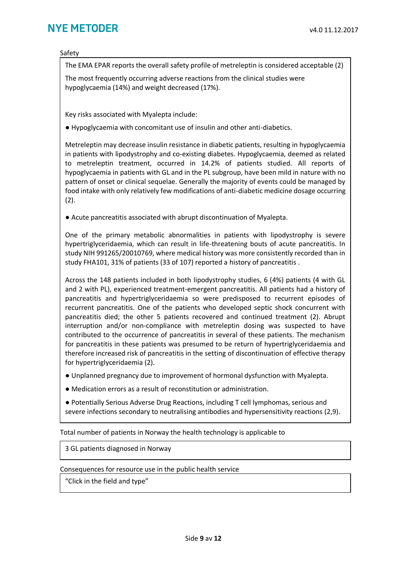Safety

The EMA EPAR reports the overall safety profile of metreleptin is considered acceptable (2)

The most frequently occurring adverse reactions from the clinical studies were hypoglycaemia (14%) and weight decreased (17%).

Key risks associated with Myalepta include:

● Hypoglycaemia with concomitant use of insulin and other anti-diabetics.

Metreleptin may decrease insulin resistance in diabetic patients, resulting in hypoglycaemia in patients with lipodystrophy and co-existing diabetes. Hypoglycaemia, deemed as related to metreleptin treatment, occurred in 14.2% of patients studied. All reports of hypoglycaemia in patients with GL and in the PL subgroup, have been mild in nature with no pattern of onset or clinical sequelae. Generally the majority of events could be managed by food intake with only relatively few modifications of anti-diabetic medicine dosage occurring (2).

● Acute pancreatitis associated with abrupt discontinuation of Myalepta.

One of the primary metabolic abnormalities in patients with lipodystrophy is severe hypertriglyceridaemia, which can result in life-threatening bouts of acute pancreatitis. In study NIH 991265/20010769, where medical history was more consistently recorded than in study FHA101, 31% of patients (33 of 107) reported a history of pancreatitis .

Across the 148 patients included in both lipodystrophy studies, 6 (4%) patients (4 with GL and 2 with PL), experienced treatment-emergent pancreatitis. All patients had a history of pancreatitis and hypertriglyceridaemia so were predisposed to recurrent episodes of recurrent pancreatitis. One of the patients who developed septic shock concurrent with pancreatitis died; the other 5 patients recovered and continued treatment (2). Abrupt interruption and/or non-compliance with metreleptin dosing was suspected to have contributed to the occurrence of pancreatitis in several of these patients. The mechanism for pancreatitis in these patients was presumed to be return of hypertriglyceridaemia and therefore increased risk of pancreatitis in the setting of discontinuation of effective therapy for hypertriglyceridaemia (2).

● Unplanned pregnancy due to improvement of hormonal dysfunction with Myalepta.

● Medication errors as a result of reconstitution or administration.

● Potentially Serious Adverse Drug Reactions, including T cell lymphomas, serious and severe infections secondary to neutralising antibodies and hypersensitivity reactions (2,9).

Total number of patients in Norway the health technology is applicable to

3 GL patients diagnosed in Norway

Consequences for resource use in the public health service

"Click in the field and type"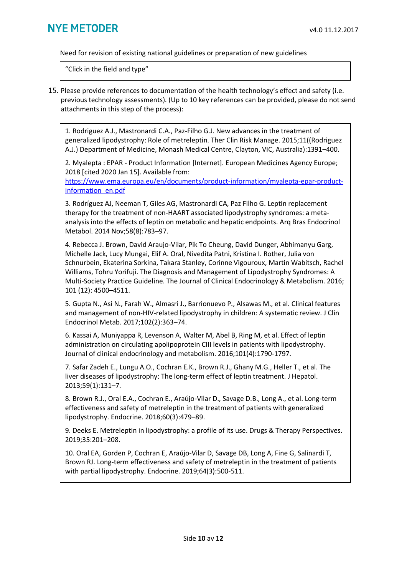Need for revision of existing national guidelines or preparation of new guidelines

"Click in the field and type"

15. Please provide references to documentation of the health technology's effect and safety (i.e. previous technology assessments). (Up to 10 key references can be provided, please do not send attachments in this step of the process):

1. Rodriguez A.J., Mastronardi C.A., Paz-Filho G.J. New advances in the treatment of generalized lipodystrophy: Role of metreleptin. Ther Clin Risk Manage. 2015;11((Rodriguez A.J.) Department of Medicine, Monash Medical Centre, Clayton, VIC, Australia):1391–400.

2. Myalepta : EPAR - Product Information [Internet]. European Medicines Agency Europe; 2018 [cited 2020 Jan 15]. Available from:

[https://www.ema.europa.eu/en/documents/product-information/myalepta-epar-product](https://www.ema.europa.eu/en/documents/product-information/myalepta-epar-product-information_en.pdf)[information\\_en.pdf](https://www.ema.europa.eu/en/documents/product-information/myalepta-epar-product-information_en.pdf)

3. Rodríguez AJ, Neeman T, Giles AG, Mastronardi CA, Paz Filho G. Leptin replacement therapy for the treatment of non-HAART associated lipodystrophy syndromes: a metaanalysis into the effects of leptin on metabolic and hepatic endpoints. Arq Bras Endocrinol Metabol. 2014 Nov;58(8):783–97.

4. Rebecca J. Brown, David Araujo-Vilar, Pik To Cheung, David Dunger, Abhimanyu Garg, Michelle Jack, Lucy Mungai, Elif A. Oral, Nivedita Patni, Kristina I. Rother, Julia von Schnurbein, Ekaterina Sorkina, Takara Stanley, Corinne Vigouroux, Martin Wabitsch, Rachel Williams, Tohru Yorifuji. The Diagnosis and Management of Lipodystrophy Syndromes: A Multi-Society Practice Guideline. The Journal of Clinical Endocrinology & Metabolism. 2016; 101 (12): 4500–4511.

5. Gupta N., Asi N., Farah W., Almasri J., Barrionuevo P., Alsawas M., et al. Clinical features and management of non-HIV-related lipodystrophy in children: A systematic review. J Clin Endocrinol Metab. 2017;102(2):363–74.

6. Kassai A, Muniyappa R, Levenson A, Walter M, Abel B, Ring M, et al. Effect of leptin administration on circulating apolipoprotein CIII levels in patients with lipodystrophy. Journal of clinical endocrinology and metabolism. 2016;101(4):1790‐1797.

7. Safar Zadeh E., Lungu A.O., Cochran E.K., Brown R.J., Ghany M.G., Heller T., et al. The liver diseases of lipodystrophy: The long-term effect of leptin treatment. J Hepatol. 2013;59(1):131–7.

8. Brown R.J., Oral E.A., Cochran E., Araújo-Vilar D., Savage D.B., Long A., et al. Long-term effectiveness and safety of metreleptin in the treatment of patients with generalized lipodystrophy. Endocrine. 2018;60(3):479–89.

9. Deeks E. Metreleptin in lipodystrophy: a profile of its use. Drugs & Therapy Perspectives. 2019;35:201–208.

10. Oral EA, Gorden P, Cochran E, Araújo-Vilar D, Savage DB, Long A, Fine G, Salinardi T, Brown RJ. Long-term effectiveness and safety of metreleptin in the treatment of patients with partial lipodystrophy. Endocrine. 2019;64(3):500-511.